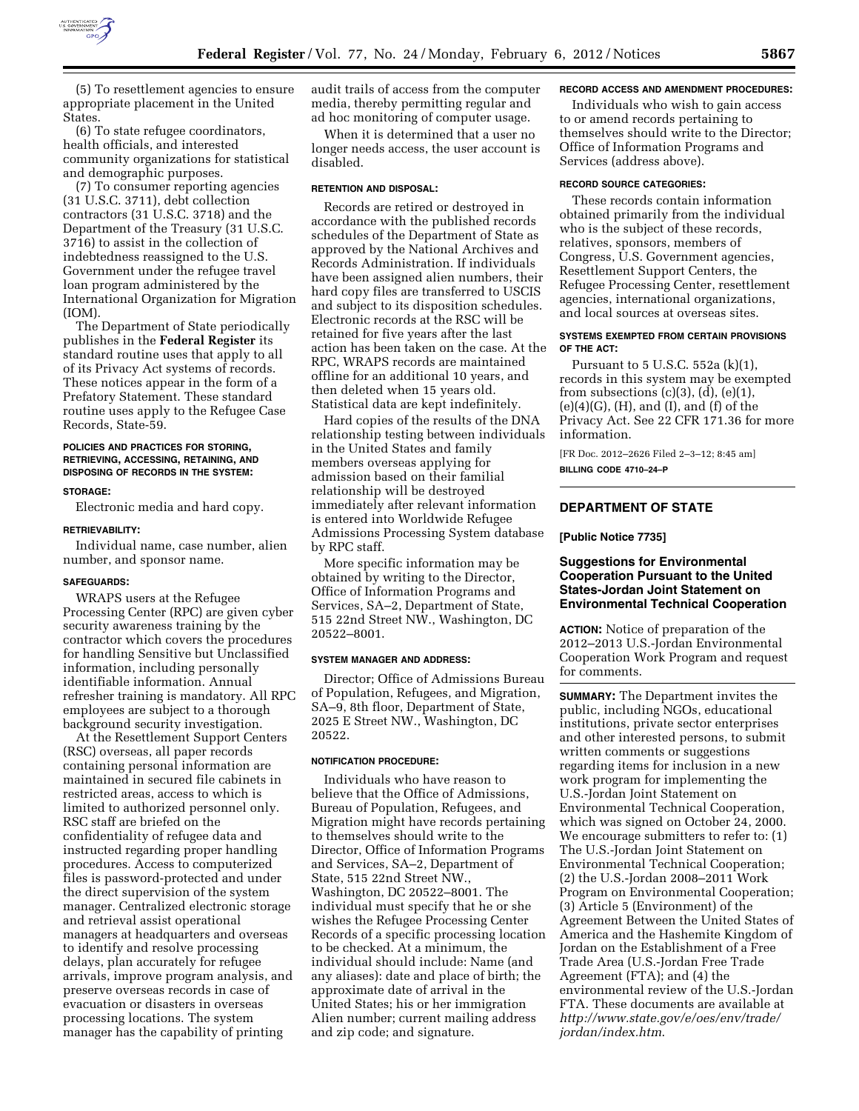

(5) To resettlement agencies to ensure appropriate placement in the United States.

(6) To state refugee coordinators, health officials, and interested community organizations for statistical and demographic purposes.

(7) To consumer reporting agencies (31 U.S.C. 3711), debt collection contractors (31 U.S.C. 3718) and the Department of the Treasury (31 U.S.C. 3716) to assist in the collection of indebtedness reassigned to the U.S. Government under the refugee travel loan program administered by the International Organization for Migration (IOM).

The Department of State periodically publishes in the **Federal Register** its standard routine uses that apply to all of its Privacy Act systems of records. These notices appear in the form of a Prefatory Statement. These standard routine uses apply to the Refugee Case Records, State-59.

# **POLICIES AND PRACTICES FOR STORING, RETRIEVING, ACCESSING, RETAINING, AND DISPOSING OF RECORDS IN THE SYSTEM:**

# **STORAGE:**

Electronic media and hard copy.

# **RETRIEVABILITY:**

Individual name, case number, alien number, and sponsor name.

#### **SAFEGUARDS:**

WRAPS users at the Refugee Processing Center (RPC) are given cyber security awareness training by the contractor which covers the procedures for handling Sensitive but Unclassified information, including personally identifiable information. Annual refresher training is mandatory. All RPC employees are subject to a thorough background security investigation.

At the Resettlement Support Centers (RSC) overseas, all paper records containing personal information are maintained in secured file cabinets in restricted areas, access to which is limited to authorized personnel only. RSC staff are briefed on the confidentiality of refugee data and instructed regarding proper handling procedures. Access to computerized files is password-protected and under the direct supervision of the system manager. Centralized electronic storage and retrieval assist operational managers at headquarters and overseas to identify and resolve processing delays, plan accurately for refugee arrivals, improve program analysis, and preserve overseas records in case of evacuation or disasters in overseas processing locations. The system manager has the capability of printing

audit trails of access from the computer media, thereby permitting regular and ad hoc monitoring of computer usage.

When it is determined that a user no longer needs access, the user account is disabled.

## **RETENTION AND DISPOSAL:**

Records are retired or destroyed in accordance with the published records schedules of the Department of State as approved by the National Archives and Records Administration. If individuals have been assigned alien numbers, their hard copy files are transferred to USCIS and subject to its disposition schedules. Electronic records at the RSC will be retained for five years after the last action has been taken on the case. At the RPC, WRAPS records are maintained offline for an additional 10 years, and then deleted when 15 years old. Statistical data are kept indefinitely.

Hard copies of the results of the DNA relationship testing between individuals in the United States and family members overseas applying for admission based on their familial relationship will be destroyed immediately after relevant information is entered into Worldwide Refugee Admissions Processing System database by RPC staff.

More specific information may be obtained by writing to the Director, Office of Information Programs and Services, SA–2, Department of State, 515 22nd Street NW., Washington, DC 20522–8001.

## **SYSTEM MANAGER AND ADDRESS:**

Director; Office of Admissions Bureau of Population, Refugees, and Migration, SA–9, 8th floor, Department of State, 2025 E Street NW., Washington, DC 20522.

# **NOTIFICATION PROCEDURE:**

Individuals who have reason to believe that the Office of Admissions, Bureau of Population, Refugees, and Migration might have records pertaining to themselves should write to the Director, Office of Information Programs and Services, SA–2, Department of State, 515 22nd Street NW., Washington, DC 20522–8001. The individual must specify that he or she wishes the Refugee Processing Center Records of a specific processing location to be checked. At a minimum, the individual should include: Name (and any aliases): date and place of birth; the approximate date of arrival in the United States; his or her immigration Alien number; current mailing address and zip code; and signature.

# **RECORD ACCESS AND AMENDMENT PROCEDURES:**

Individuals who wish to gain access to or amend records pertaining to themselves should write to the Director; Office of Information Programs and Services (address above).

# **RECORD SOURCE CATEGORIES:**

These records contain information obtained primarily from the individual who is the subject of these records, relatives, sponsors, members of Congress, U.S. Government agencies, Resettlement Support Centers, the Refugee Processing Center, resettlement agencies, international organizations, and local sources at overseas sites.

#### **SYSTEMS EXEMPTED FROM CERTAIN PROVISIONS OF THE ACT:**

Pursuant to 5 U.S.C. 552a (k)(1), records in this system may be exempted from subsections  $(c)(3)$ ,  $(d)$ ,  $(e)(1)$ ,  $(e)(4)(G)$ ,  $(H)$ , and  $(I)$ , and  $(f)$  of the Privacy Act. See 22 CFR 171.36 for more information.

[FR Doc. 2012–2626 Filed 2–3–12; 8:45 am] **BILLING CODE 4710–24–P** 

# **DEPARTMENT OF STATE**

#### **[Public Notice 7735]**

# **Suggestions for Environmental Cooperation Pursuant to the United States-Jordan Joint Statement on Environmental Technical Cooperation**

**ACTION:** Notice of preparation of the 2012–2013 U.S.-Jordan Environmental Cooperation Work Program and request for comments.

**SUMMARY:** The Department invites the public, including NGOs, educational institutions, private sector enterprises and other interested persons, to submit written comments or suggestions regarding items for inclusion in a new work program for implementing the U.S.-Jordan Joint Statement on Environmental Technical Cooperation, which was signed on October 24, 2000. We encourage submitters to refer to: (1) The U.S.-Jordan Joint Statement on Environmental Technical Cooperation; (2) the U.S.-Jordan 2008–2011 Work Program on Environmental Cooperation; (3) Article 5 (Environment) of the Agreement Between the United States of America and the Hashemite Kingdom of Jordan on the Establishment of a Free Trade Area (U.S.-Jordan Free Trade Agreement (FTA); and (4) the environmental review of the U.S.-Jordan FTA. These documents are available at *[http://www.state.gov/e/oes/env/trade/](http://www.state.gov/e/oes/env/trade/jordan/index.htm) [jordan/index.htm](http://www.state.gov/e/oes/env/trade/jordan/index.htm)*.